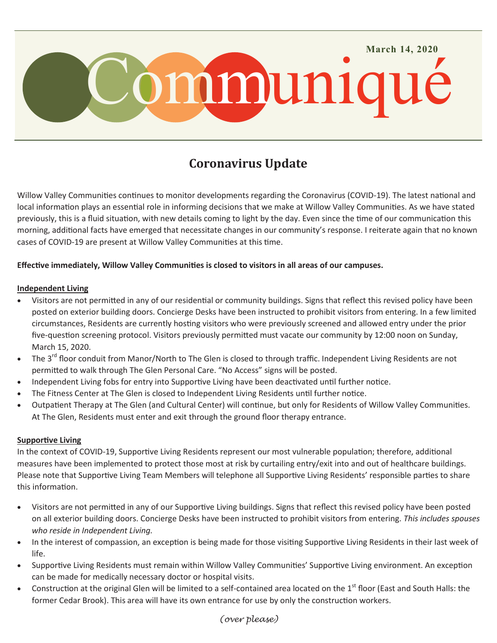

# **Coronavirus Update**

Willow Valley Communities continues to monitor developments regarding the Coronavirus (COVID-19). The latest national and local information plays an essential role in informing decisions that we make at Willow Valley Communities. As we have stated previously, this is a fluid situation, with new details coming to light by the day. Even since the time of our communication this morning, additional facts have emerged that necessitate changes in our community's response. I reiterate again that no known cases of COVID-19 are present at Willow Valley Communities at this time.

# **Effective immediately, Willow Valley Communities is closed to visitors in all areas of our campuses.**

# **Independent Living**

- Visitors are not permitted in any of our residential or community buildings. Signs that reflect this revised policy have been posted on exterior building doors. Concierge Desks have been instructed to prohibit visitors from entering. In a few limited circumstances, Residents are currently hosting visitors who were previously screened and allowed entry under the prior five-question screening protocol. Visitors previously permitted must vacate our community by 12:00 noon on Sunday, March 15, 2020.
- The 3<sup>rd</sup> floor conduit from Manor/North to The Glen is closed to through traffic. Independent Living Residents are not permitted to walk through The Glen Personal Care. "No Access" signs will be posted.
- Independent Living fobs for entry into Supportive Living have been deactivated until further notice.
- The Fitness Center at The Glen is closed to Independent Living Residents until further notice.
- Outpatient Therapy at The Glen (and Cultural Center) will continue, but only for Residents of Willow Valley Communities. At The Glen, Residents must enter and exit through the ground floor therapy entrance.

#### **Supportive Living**

In the context of COVID-19, Supportive Living Residents represent our most vulnerable population; therefore, additional measures have been implemented to protect those most at risk by curtailing entry/exit into and out of healthcare buildings. Please note that Supportive Living Team Members will telephone all Supportive Living Residents' responsible parties to share this information.

- Visitors are not permitted in any of our Supportive Living buildings. Signs that reflect this revised policy have been posted on all exterior building doors. Concierge Desks have been instructed to prohibit visitors from entering. *This includes spouses who reside in Independent Living.*
- In the interest of compassion, an exception is being made for those visiting Supportive Living Residents in their last week of life.
- Supportive Living Residents must remain within Willow Valley Communities' Supportive Living environment. An exception can be made for medically necessary doctor or hospital visits.
- Construction at the original Glen will be limited to a self-contained area located on the  $1<sup>st</sup>$  floor (East and South Halls: the former Cedar Brook). This area will have its own entrance for use by only the construction workers.